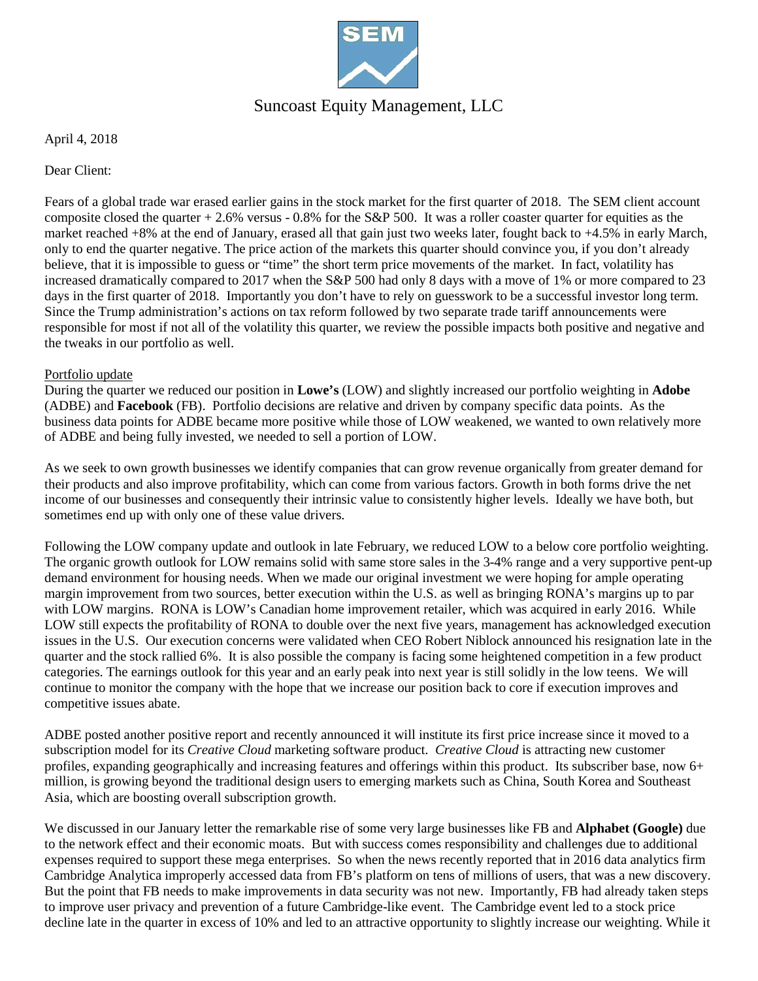

# Suncoast Equity Management, LLC

April 4, 2018

Dear Client:

Fears of a global trade war erased earlier gains in the stock market for the first quarter of 2018. The SEM client account composite closed the quarter  $+ 2.6\%$  versus - 0.8% for the S&P 500. It was a roller coaster quarter for equities as the market reached +8% at the end of January, erased all that gain just two weeks later, fought back to +4.5% in early March, only to end the quarter negative. The price action of the markets this quarter should convince you, if you don't already believe, that it is impossible to guess or "time" the short term price movements of the market. In fact, volatility has increased dramatically compared to 2017 when the S&P 500 had only 8 days with a move of 1% or more compared to 23 days in the first quarter of 2018. Importantly you don't have to rely on guesswork to be a successful investor long term. Since the Trump administration's actions on tax reform followed by two separate trade tariff announcements were responsible for most if not all of the volatility this quarter, we review the possible impacts both positive and negative and the tweaks in our portfolio as well.

### Portfolio update

During the quarter we reduced our position in **Lowe's** (LOW) and slightly increased our portfolio weighting in **Adobe** (ADBE) and **Facebook** (FB).Portfolio decisions are relative and driven by company specific data points. As the business data points for ADBE became more positive while those of LOW weakened, we wanted to own relatively more of ADBE and being fully invested, we needed to sell a portion of LOW.

As we seek to own growth businesses we identify companies that can grow revenue organically from greater demand for their products and also improve profitability, which can come from various factors. Growth in both forms drive the net income of our businesses and consequently their intrinsic value to consistently higher levels. Ideally we have both, but sometimes end up with only one of these value drivers.

Following the LOW company update and outlook in late February, we reduced LOW to a below core portfolio weighting. The organic growth outlook for LOW remains solid with same store sales in the 3-4% range and a very supportive pent-up demand environment for housing needs. When we made our original investment we were hoping for ample operating margin improvement from two sources, better execution within the U.S. as well as bringing RONA's margins up to par with LOW margins. RONA is LOW's Canadian home improvement retailer, which was acquired in early 2016. While LOW still expects the profitability of RONA to double over the next five years, management has acknowledged execution issues in the U.S. Our execution concerns were validated when CEO Robert Niblock announced his resignation late in the quarter and the stock rallied 6%. It is also possible the company is facing some heightened competition in a few product categories. The earnings outlook for this year and an early peak into next year is still solidly in the low teens. We will continue to monitor the company with the hope that we increase our position back to core if execution improves and competitive issues abate.

ADBE posted another positive report and recently announced it will institute its first price increase since it moved to a subscription model for its *Creative Cloud* marketing software product. *Creative Cloud* is attracting new customer profiles, expanding geographically and increasing features and offerings within this product. Its subscriber base, now 6+ million, is growing beyond the traditional design users to emerging markets such as China, South Korea and Southeast Asia, which are boosting overall subscription growth.

We discussed in our January letter the remarkable rise of some very large businesses like FB and **Alphabet (Google)** due to the network effect and their economic moats. But with success comes responsibility and challenges due to additional expenses required to support these mega enterprises. So when the news recently reported that in 2016 data analytics firm Cambridge Analytica improperly accessed data from FB's platform on tens of millions of users, that was a new discovery. But the point that FB needs to make improvements in data security was not new. Importantly, FB had already taken steps to improve user privacy and prevention of a future Cambridge-like event. The Cambridge event led to a stock price decline late in the quarter in excess of 10% and led to an attractive opportunity to slightly increase our weighting. While it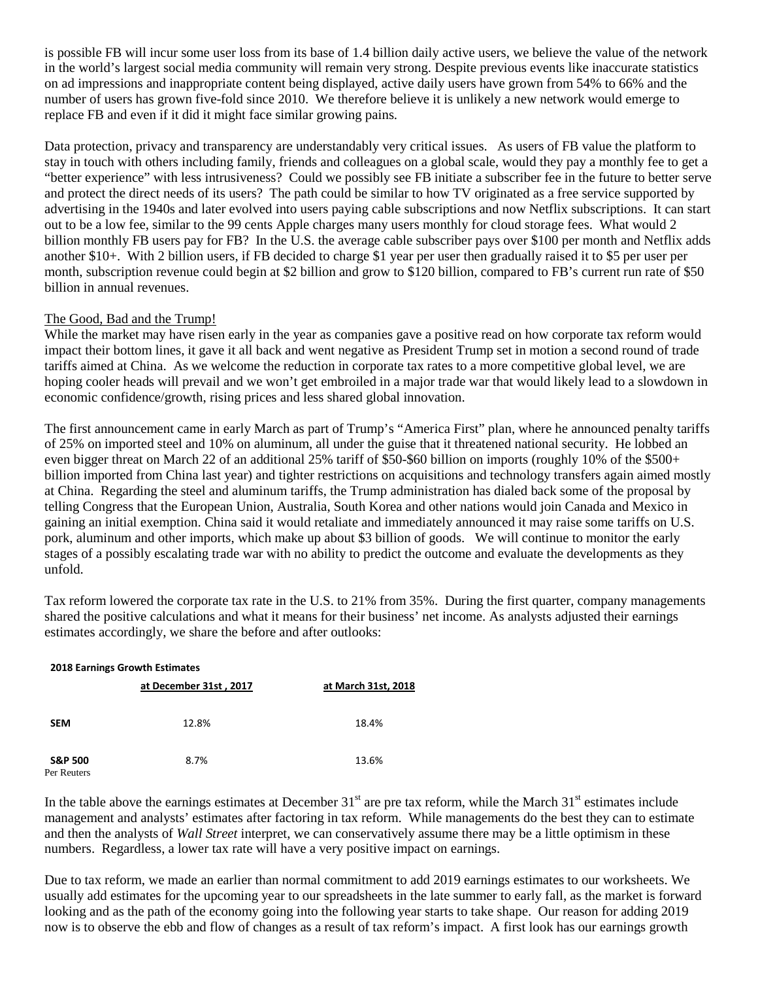is possible FB will incur some user loss from its base of 1.4 billion daily active users, we believe the value of the network in the world's largest social media community will remain very strong. Despite previous events like inaccurate statistics on ad impressions and inappropriate content being displayed, active daily users have grown from 54% to 66% and the number of users has grown five-fold since 2010. We therefore believe it is unlikely a new network would emerge to replace FB and even if it did it might face similar growing pains.

Data protection, privacy and transparency are understandably very critical issues. As users of FB value the platform to stay in touch with others including family, friends and colleagues on a global scale, would they pay a monthly fee to get a "better experience" with less intrusiveness? Could we possibly see FB initiate a subscriber fee in the future to better serve and protect the direct needs of its users? The path could be similar to how TV originated as a free service supported by advertising in the 1940s and later evolved into users paying cable subscriptions and now Netflix subscriptions. It can start out to be a low fee, similar to the 99 cents Apple charges many users monthly for cloud storage fees. What would 2 billion monthly FB users pay for FB? In the U.S. the average cable subscriber pays over \$100 per month and Netflix adds another \$10+. With 2 billion users, if FB decided to charge \$1 year per user then gradually raised it to \$5 per user per month, subscription revenue could begin at \$2 billion and grow to \$120 billion, compared to FB's current run rate of \$50 billion in annual revenues.

## The Good, Bad and the Trump!

While the market may have risen early in the year as companies gave a positive read on how corporate tax reform would impact their bottom lines, it gave it all back and went negative as President Trump set in motion a second round of trade tariffs aimed at China. As we welcome the reduction in corporate tax rates to a more competitive global level, we are hoping cooler heads will prevail and we won't get embroiled in a major trade war that would likely lead to a slowdown in economic confidence/growth, rising prices and less shared global innovation.

The first announcement came in early March as part of Trump's "America First" plan, where he announced penalty tariffs of 25% on imported steel and 10% on aluminum, all under the guise that it threatened national security. He lobbed an even bigger threat on March 22 of an additional 25% tariff of \$50-\$60 billion on imports (roughly 10% of the \$500+ billion imported from China last year) and tighter restrictions on acquisitions and technology transfers again aimed mostly at China. Regarding the steel and aluminum tariffs, the Trump administration has dialed back some of the proposal by telling Congress that the European Union, Australia, South Korea and other nations would join Canada and Mexico in gaining an initial exemption. China said it would retaliate and immediately announced it may raise some tariffs on U.S. pork, aluminum and other imports, which make up about \$3 billion of goods. We will continue to monitor the early stages of a possibly escalating trade war with no ability to predict the outcome and evaluate the developments as they unfold.

Tax reform lowered the corporate tax rate in the U.S. to 21% from 35%. During the first quarter, company managements shared the positive calculations and what it means for their business' net income. As analysts adjusted their earnings estimates accordingly, we share the before and after outlooks:

| <b>2018 Earnings Growth Estimates</b> |                        |                     |  |  |  |
|---------------------------------------|------------------------|---------------------|--|--|--|
|                                       | at December 31st, 2017 | at March 31st, 2018 |  |  |  |
| <b>SEM</b>                            | 12.8%                  | 18.4%               |  |  |  |
| <b>S&amp;P 500</b><br>Per Reuters     | 8.7%                   | 13.6%               |  |  |  |

In the table above the earnings estimates at December  $31<sup>st</sup>$  are pre tax reform, while the March  $31<sup>st</sup>$  estimates include management and analysts' estimates after factoring in tax reform. While managements do the best they can to estimate and then the analysts of *Wall Street* interpret, we can conservatively assume there may be a little optimism in these numbers. Regardless, a lower tax rate will have a very positive impact on earnings.

Due to tax reform, we made an earlier than normal commitment to add 2019 earnings estimates to our worksheets. We usually add estimates for the upcoming year to our spreadsheets in the late summer to early fall, as the market is forward looking and as the path of the economy going into the following year starts to take shape. Our reason for adding 2019 now is to observe the ebb and flow of changes as a result of tax reform's impact. A first look has our earnings growth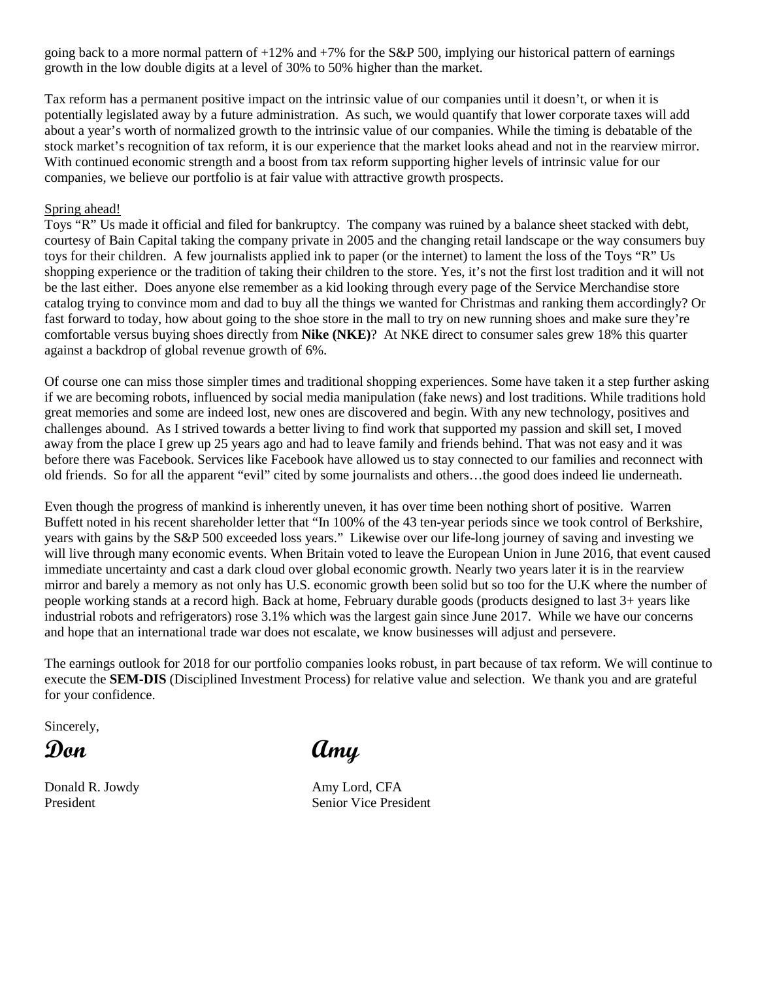going back to a more normal pattern of  $+12\%$  and  $+7\%$  for the S&P 500, implying our historical pattern of earnings growth in the low double digits at a level of 30% to 50% higher than the market.

Tax reform has a permanent positive impact on the intrinsic value of our companies until it doesn't, or when it is potentially legislated away by a future administration. As such, we would quantify that lower corporate taxes will add about a year's worth of normalized growth to the intrinsic value of our companies. While the timing is debatable of the stock market's recognition of tax reform, it is our experience that the market looks ahead and not in the rearview mirror. With continued economic strength and a boost from tax reform supporting higher levels of intrinsic value for our companies, we believe our portfolio is at fair value with attractive growth prospects.

### Spring ahead!

Toys "R" Us made it official and filed for bankruptcy. The company was ruined by a balance sheet stacked with debt, courtesy of Bain Capital taking the company private in 2005 and the changing retail landscape or the way consumers buy toys for their children. A few journalists applied ink to paper (or the internet) to lament the loss of the Toys "R" Us shopping experience or the tradition of taking their children to the store. Yes, it's not the first lost tradition and it will not be the last either. Does anyone else remember as a kid looking through every page of the Service Merchandise store catalog trying to convince mom and dad to buy all the things we wanted for Christmas and ranking them accordingly? Or fast forward to today, how about going to the shoe store in the mall to try on new running shoes and make sure they're comfortable versus buying shoes directly from **Nike (NKE)**? At NKE direct to consumer sales grew 18% this quarter against a backdrop of global revenue growth of 6%.

Of course one can miss those simpler times and traditional shopping experiences. Some have taken it a step further asking if we are becoming robots, influenced by social media manipulation (fake news) and lost traditions. While traditions hold great memories and some are indeed lost, new ones are discovered and begin. With any new technology, positives and challenges abound. As I strived towards a better living to find work that supported my passion and skill set, I moved away from the place I grew up 25 years ago and had to leave family and friends behind. That was not easy and it was before there was Facebook. Services like Facebook have allowed us to stay connected to our families and reconnect with old friends. So for all the apparent "evil" cited by some journalists and others…the good does indeed lie underneath.

Even though the progress of mankind is inherently uneven, it has over time been nothing short of positive. Warren Buffett noted in his recent shareholder letter that "In 100% of the 43 ten-year periods since we took control of Berkshire, years with gains by the S&P 500 exceeded loss years." Likewise over our life-long journey of saving and investing we will live through many economic events. When Britain voted to leave the European Union in June 2016, that event caused immediate uncertainty and cast a dark cloud over global economic growth. Nearly two years later it is in the rearview mirror and barely a memory as not only has U.S. economic growth been solid but so too for the U.K where the number of people working stands at a record high. Back at home, February durable goods (products designed to last 3+ years like industrial robots and refrigerators) rose 3.1% which was the largest gain since June 2017. While we have our concerns and hope that an international trade war does not escalate, we know businesses will adjust and persevere.

The earnings outlook for 2018 for our portfolio companies looks robust, in part because of tax reform. We will continue to execute the **SEM-DIS** (Disciplined Investment Process) for relative value and selection. We thank you and are grateful for your confidence.

Sincerely,

Donald R. Jowdy **Amy Lord, CFA** 

**Don Amy**

President Senior Vice President